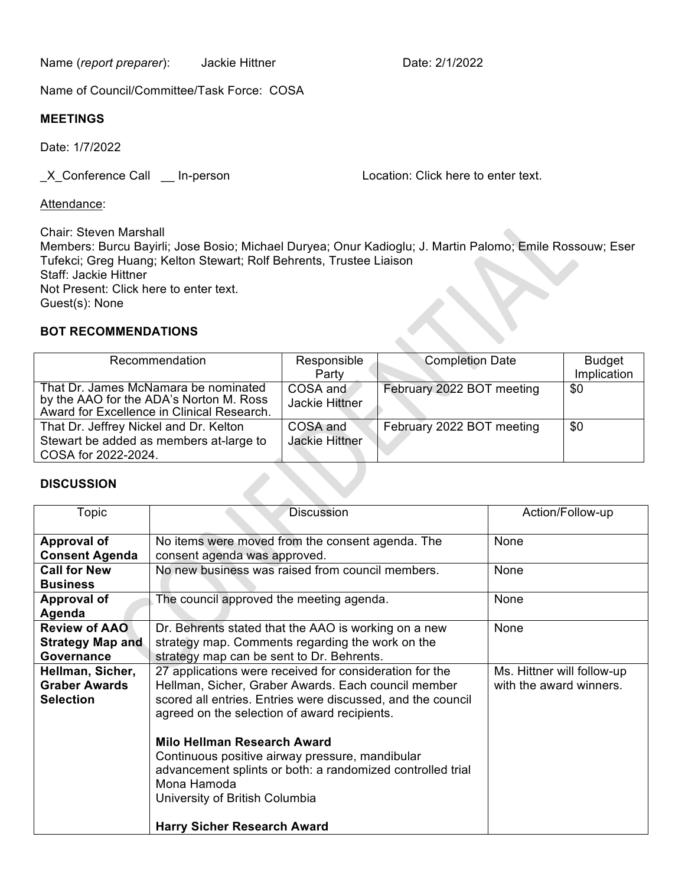Name (*report preparer*): Jackie Hittner **Date: 2/1/2022** 

Name of Council/Committee/Task Force: COSA

## **MEETINGS**

Date: 1/7/2022

\_X\_Conference Call \_\_ In-person Location: Click here to enter text.

Attendance:

Chair: Steven Marshall Members: Burcu Bayirli; Jose Bosio; Michael Duryea; Onur Kadioglu; J. Martin Palomo; Emile Rossouw; Eser Tufekci; Greg Huang; Kelton Stewart; Rolf Behrents, Trustee Liaison Staff: Jackie Hittner Not Present: Click here to enter text. Guest(s): None

## **BOT RECOMMENDATIONS**

| Recommendation                                                                                                                | Responsible<br>Party              | <b>Completion Date</b>    | <b>Budget</b><br>Implication |
|-------------------------------------------------------------------------------------------------------------------------------|-----------------------------------|---------------------------|------------------------------|
| That Dr. James McNamara be nominated<br>by the AAO for the ADA's Norton M. Ross<br>Award for Excellence in Clinical Research. | COSA and<br><b>Jackie Hittner</b> | February 2022 BOT meeting | \$0                          |
| That Dr. Jeffrey Nickel and Dr. Kelton<br>Stewart be added as members at-large to<br>COSA for 2022-2024.                      | COSA and<br><b>Jackie Hittner</b> | February 2022 BOT meeting | \$0                          |

ZNV

## **DISCUSSION**

| Topic                                                         | <b>Discussion</b>                                                                                                                                                                                                             | Action/Follow-up                                      |
|---------------------------------------------------------------|-------------------------------------------------------------------------------------------------------------------------------------------------------------------------------------------------------------------------------|-------------------------------------------------------|
| <b>Approval of</b><br><b>Consent Agenda</b>                   | No items were moved from the consent agenda. The<br>consent agenda was approved.                                                                                                                                              | None                                                  |
| <b>Call for New</b><br><b>Business</b>                        | No new business was raised from council members.                                                                                                                                                                              | None                                                  |
| <b>Approval of</b><br>Agenda                                  | The council approved the meeting agenda.                                                                                                                                                                                      | None                                                  |
| <b>Review of AAO</b><br><b>Strategy Map and</b><br>Governance | Dr. Behrents stated that the AAO is working on a new<br>strategy map. Comments regarding the work on the<br>strategy map can be sent to Dr. Behrents.                                                                         | None                                                  |
| Hellman, Sicher,<br><b>Graber Awards</b><br><b>Selection</b>  | 27 applications were received for consideration for the<br>Hellman, Sicher, Graber Awards. Each council member<br>scored all entries. Entries were discussed, and the council<br>agreed on the selection of award recipients. | Ms. Hittner will follow-up<br>with the award winners. |
|                                                               | Milo Hellman Research Award<br>Continuous positive airway pressure, mandibular<br>advancement splints or both: a randomized controlled trial<br>Mona Hamoda<br>University of British Columbia                                 |                                                       |
|                                                               | <b>Harry Sicher Research Award</b>                                                                                                                                                                                            |                                                       |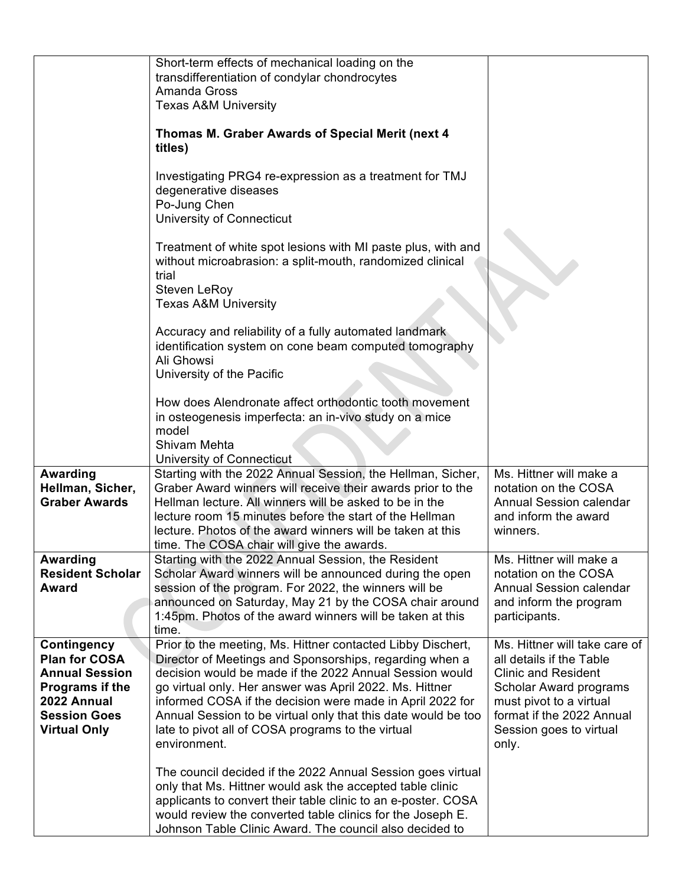|                                            | Short-term effects of mechanical loading on the<br>transdifferentiation of condylar chondrocytes<br>Amanda Gross<br><b>Texas A&amp;M University</b>                                                                                                     |                                                      |
|--------------------------------------------|---------------------------------------------------------------------------------------------------------------------------------------------------------------------------------------------------------------------------------------------------------|------------------------------------------------------|
|                                            | Thomas M. Graber Awards of Special Merit (next 4<br>titles)                                                                                                                                                                                             |                                                      |
|                                            | Investigating PRG4 re-expression as a treatment for TMJ<br>degenerative diseases<br>Po-Jung Chen<br>University of Connecticut                                                                                                                           |                                                      |
|                                            | Treatment of white spot lesions with MI paste plus, with and<br>without microabrasion: a split-mouth, randomized clinical<br>trial<br><b>Steven LeRoy</b>                                                                                               |                                                      |
|                                            | <b>Texas A&amp;M University</b><br>Accuracy and reliability of a fully automated landmark<br>identification system on cone beam computed tomography<br>Ali Ghowsi                                                                                       |                                                      |
|                                            | University of the Pacific<br>How does Alendronate affect orthodontic tooth movement<br>in osteogenesis imperfecta: an in-vivo study on a mice<br>model<br>Shivam Mehta                                                                                  |                                                      |
|                                            | University of Connecticut                                                                                                                                                                                                                               |                                                      |
| <b>Awarding</b>                            | Starting with the 2022 Annual Session, the Hellman, Sicher,                                                                                                                                                                                             | Ms. Hittner will make a                              |
| Hellman, Sicher,                           | Graber Award winners will receive their awards prior to the                                                                                                                                                                                             | notation on the COSA                                 |
| <b>Graber Awards</b>                       | Hellman lecture. All winners will be asked to be in the                                                                                                                                                                                                 | <b>Annual Session calendar</b>                       |
|                                            | lecture room 15 minutes before the start of the Hellman                                                                                                                                                                                                 | and inform the award                                 |
|                                            | lecture. Photos of the award winners will be taken at this                                                                                                                                                                                              | winners.                                             |
|                                            | time. The COSA chair will give the awards.<br>Starting with the 2022 Annual Session, the Resident                                                                                                                                                       | Ms. Hittner will make a                              |
| <b>Awarding</b><br><b>Resident Scholar</b> | Scholar Award winners will be announced during the open                                                                                                                                                                                                 | notation on the COSA                                 |
| <b>Award</b>                               | session of the program. For 2022, the winners will be                                                                                                                                                                                                   | <b>Annual Session calendar</b>                       |
|                                            | announced on Saturday, May 21 by the COSA chair around                                                                                                                                                                                                  | and inform the program                               |
|                                            | 1:45pm. Photos of the award winners will be taken at this                                                                                                                                                                                               | participants.                                        |
|                                            | time.                                                                                                                                                                                                                                                   |                                                      |
| Contingency                                | Prior to the meeting, Ms. Hittner contacted Libby Dischert,                                                                                                                                                                                             | Ms. Hittner will take care of                        |
| <b>Plan for COSA</b>                       | Director of Meetings and Sponsorships, regarding when a                                                                                                                                                                                                 | all details if the Table                             |
| <b>Annual Session</b>                      | decision would be made if the 2022 Annual Session would                                                                                                                                                                                                 | <b>Clinic and Resident</b>                           |
| Programs if the<br>2022 Annual             | go virtual only. Her answer was April 2022. Ms. Hittner                                                                                                                                                                                                 | Scholar Award programs                               |
| <b>Session Goes</b>                        | informed COSA if the decision were made in April 2022 for<br>Annual Session to be virtual only that this date would be too                                                                                                                              | must pivot to a virtual<br>format if the 2022 Annual |
| <b>Virtual Only</b>                        | late to pivot all of COSA programs to the virtual                                                                                                                                                                                                       | Session goes to virtual                              |
|                                            | environment.                                                                                                                                                                                                                                            | only.                                                |
|                                            | The council decided if the 2022 Annual Session goes virtual<br>only that Ms. Hittner would ask the accepted table clinic<br>applicants to convert their table clinic to an e-poster. COSA<br>would review the converted table clinics for the Joseph E. |                                                      |
|                                            | Johnson Table Clinic Award. The council also decided to                                                                                                                                                                                                 |                                                      |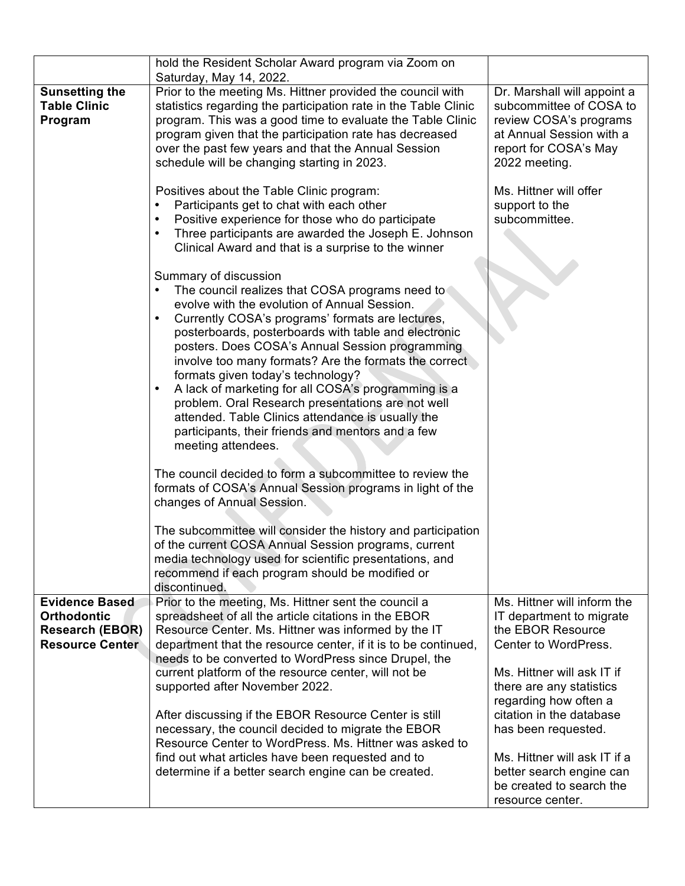|                                                                        | hold the Resident Scholar Award program via Zoom on                                                                                                                                                                                                                                                                                                                                                                                                                                                                                                                                                                                                                                                                                                                                                                                                                                                                                                                                                                            |                                                                                                                                                        |
|------------------------------------------------------------------------|--------------------------------------------------------------------------------------------------------------------------------------------------------------------------------------------------------------------------------------------------------------------------------------------------------------------------------------------------------------------------------------------------------------------------------------------------------------------------------------------------------------------------------------------------------------------------------------------------------------------------------------------------------------------------------------------------------------------------------------------------------------------------------------------------------------------------------------------------------------------------------------------------------------------------------------------------------------------------------------------------------------------------------|--------------------------------------------------------------------------------------------------------------------------------------------------------|
| <b>Sunsetting the</b><br><b>Table Clinic</b><br>Program                | Saturday, May 14, 2022.<br>Prior to the meeting Ms. Hittner provided the council with<br>statistics regarding the participation rate in the Table Clinic<br>program. This was a good time to evaluate the Table Clinic<br>program given that the participation rate has decreased<br>over the past few years and that the Annual Session<br>schedule will be changing starting in 2023.                                                                                                                                                                                                                                                                                                                                                                                                                                                                                                                                                                                                                                        | Dr. Marshall will appoint a<br>subcommittee of COSA to<br>review COSA's programs<br>at Annual Session with a<br>report for COSA's May<br>2022 meeting. |
|                                                                        | Positives about the Table Clinic program:<br>Participants get to chat with each other<br>Positive experience for those who do participate<br>Three participants are awarded the Joseph E. Johnson<br>Clinical Award and that is a surprise to the winner                                                                                                                                                                                                                                                                                                                                                                                                                                                                                                                                                                                                                                                                                                                                                                       | Ms. Hittner will offer<br>support to the<br>subcommittee.                                                                                              |
|                                                                        | Summary of discussion<br>The council realizes that COSA programs need to<br>evolve with the evolution of Annual Session.<br>Currently COSA's programs' formats are lectures,<br>posterboards, posterboards with table and electronic<br>posters. Does COSA's Annual Session programming<br>involve too many formats? Are the formats the correct<br>formats given today's technology?<br>A lack of marketing for all COSA's programming is a<br>problem. Oral Research presentations are not well<br>attended. Table Clinics attendance is usually the<br>participants, their friends and mentors and a few<br>meeting attendees.<br>The council decided to form a subcommittee to review the<br>formats of COSA's Annual Session programs in light of the<br>changes of Annual Session.<br>The subcommittee will consider the history and participation<br>of the current COSA Annual Session programs, current<br>media technology used for scientific presentations, and<br>recommend if each program should be modified or |                                                                                                                                                        |
| <b>Evidence Based</b>                                                  | discontinued.<br>Prior to the meeting, Ms. Hittner sent the council a                                                                                                                                                                                                                                                                                                                                                                                                                                                                                                                                                                                                                                                                                                                                                                                                                                                                                                                                                          | Ms. Hittner will inform the                                                                                                                            |
| <b>Orthodontic</b><br><b>Research (EBOR)</b><br><b>Resource Center</b> | spreadsheet of all the article citations in the EBOR<br>Resource Center. Ms. Hittner was informed by the IT<br>department that the resource center, if it is to be continued,<br>needs to be converted to WordPress since Drupel, the                                                                                                                                                                                                                                                                                                                                                                                                                                                                                                                                                                                                                                                                                                                                                                                          | IT department to migrate<br>the EBOR Resource<br>Center to WordPress.                                                                                  |
|                                                                        | current platform of the resource center, will not be<br>supported after November 2022.                                                                                                                                                                                                                                                                                                                                                                                                                                                                                                                                                                                                                                                                                                                                                                                                                                                                                                                                         | Ms. Hittner will ask IT if<br>there are any statistics<br>regarding how often a                                                                        |
|                                                                        | After discussing if the EBOR Resource Center is still<br>necessary, the council decided to migrate the EBOR<br>Resource Center to WordPress. Ms. Hittner was asked to<br>find out what articles have been requested and to                                                                                                                                                                                                                                                                                                                                                                                                                                                                                                                                                                                                                                                                                                                                                                                                     | citation in the database<br>has been requested.<br>Ms. Hittner will ask IT if a                                                                        |
|                                                                        | determine if a better search engine can be created.                                                                                                                                                                                                                                                                                                                                                                                                                                                                                                                                                                                                                                                                                                                                                                                                                                                                                                                                                                            | better search engine can<br>be created to search the<br>resource center.                                                                               |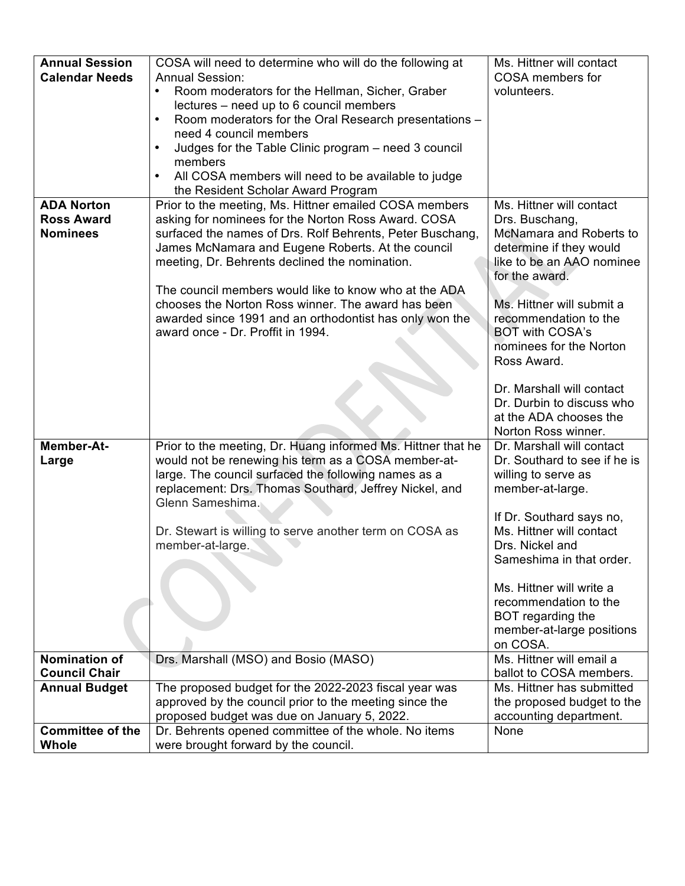| <b>Annual Session</b>   | COSA will need to determine who will do the following at                                                       | Ms. Hittner will contact                           |
|-------------------------|----------------------------------------------------------------------------------------------------------------|----------------------------------------------------|
| <b>Calendar Needs</b>   | <b>Annual Session:</b>                                                                                         | COSA members for                                   |
|                         | Room moderators for the Hellman, Sicher, Graber<br>$\bullet$                                                   | volunteers.                                        |
|                         | lectures – need up to 6 council members                                                                        |                                                    |
|                         | Room moderators for the Oral Research presentations -                                                          |                                                    |
|                         | need 4 council members                                                                                         |                                                    |
|                         | Judges for the Table Clinic program - need 3 council                                                           |                                                    |
|                         | members<br>All COSA members will need to be available to judge                                                 |                                                    |
|                         | the Resident Scholar Award Program                                                                             |                                                    |
| <b>ADA Norton</b>       | Prior to the meeting, Ms. Hittner emailed COSA members                                                         | Ms. Hittner will contact                           |
| <b>Ross Award</b>       | asking for nominees for the Norton Ross Award. COSA                                                            | Drs. Buschang,                                     |
| <b>Nominees</b>         | surfaced the names of Drs. Rolf Behrents, Peter Buschang,                                                      | McNamara and Roberts to                            |
|                         | James McNamara and Eugene Roberts. At the council                                                              | determine if they would                            |
|                         | meeting, Dr. Behrents declined the nomination.                                                                 | like to be an AAO nominee                          |
|                         |                                                                                                                | for the award.                                     |
|                         | The council members would like to know who at the ADA                                                          |                                                    |
|                         | chooses the Norton Ross winner. The award has been<br>awarded since 1991 and an orthodontist has only won the  | Ms. Hittner will submit a<br>recommendation to the |
|                         | award once - Dr. Proffit in 1994.                                                                              | <b>BOT with COSA's</b>                             |
|                         |                                                                                                                | nominees for the Norton                            |
|                         |                                                                                                                | Ross Award.                                        |
|                         |                                                                                                                |                                                    |
|                         |                                                                                                                | Dr. Marshall will contact                          |
|                         |                                                                                                                | Dr. Durbin to discuss who                          |
|                         |                                                                                                                | at the ADA chooses the                             |
|                         |                                                                                                                | Norton Ross winner.                                |
| Member-At-              | Prior to the meeting, Dr. Huang informed Ms. Hittner that he                                                   | Dr. Marshall will contact                          |
| Large                   | would not be renewing his term as a COSA member-at-                                                            | Dr. Southard to see if he is                       |
|                         | large. The council surfaced the following names as a<br>replacement: Drs. Thomas Southard, Jeffrey Nickel, and | willing to serve as<br>member-at-large.            |
|                         | Glenn Sameshima.                                                                                               |                                                    |
|                         |                                                                                                                | If Dr. Southard says no,                           |
|                         | Dr. Stewart is willing to serve another term on COSA as                                                        | Ms. Hittner will contact                           |
|                         | member-at-large.                                                                                               | Drs. Nickel and                                    |
|                         |                                                                                                                | Sameshima in that order.                           |
|                         |                                                                                                                |                                                    |
|                         |                                                                                                                | Ms. Hittner will write a                           |
|                         |                                                                                                                | recommendation to the                              |
|                         |                                                                                                                | BOT regarding the<br>member-at-large positions     |
|                         |                                                                                                                | on COSA.                                           |
| <b>Nomination of</b>    | Drs. Marshall (MSO) and Bosio (MASO)                                                                           | Ms. Hittner will email a                           |
| <b>Council Chair</b>    |                                                                                                                | ballot to COSA members.                            |
| <b>Annual Budget</b>    | The proposed budget for the 2022-2023 fiscal year was                                                          | Ms. Hittner has submitted                          |
|                         | approved by the council prior to the meeting since the                                                         | the proposed budget to the                         |
|                         | proposed budget was due on January 5, 2022.                                                                    | accounting department.                             |
| <b>Committee of the</b> | Dr. Behrents opened committee of the whole. No items                                                           | None                                               |
| <b>Whole</b>            | were brought forward by the council.                                                                           |                                                    |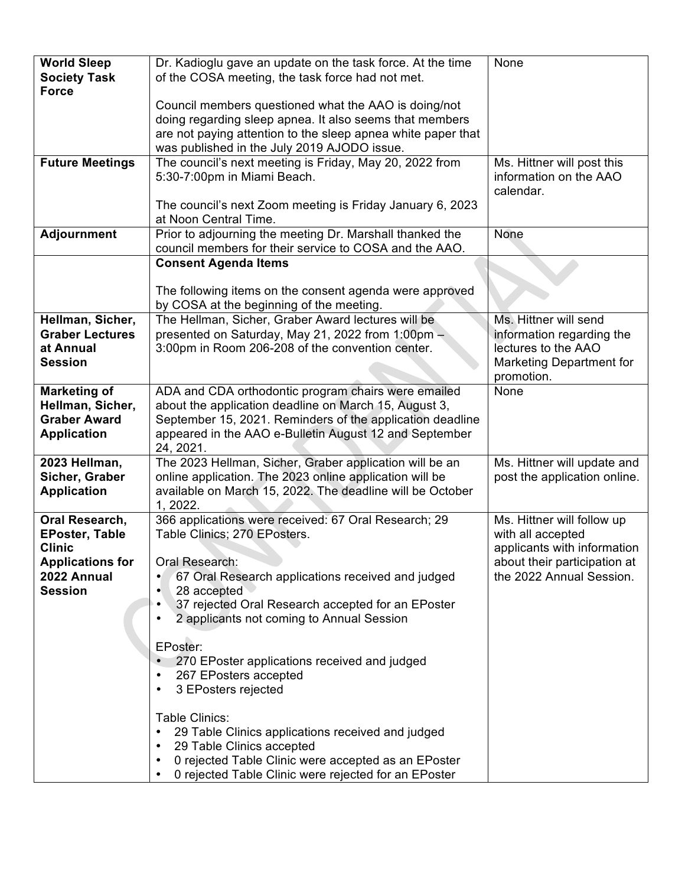| <b>World Sleep</b>      | Dr. Kadioglu gave an update on the task force. At the time     | None                         |
|-------------------------|----------------------------------------------------------------|------------------------------|
| <b>Society Task</b>     | of the COSA meeting, the task force had not met.               |                              |
| <b>Force</b>            |                                                                |                              |
|                         | Council members questioned what the AAO is doing/not           |                              |
|                         | doing regarding sleep apnea. It also seems that members        |                              |
|                         | are not paying attention to the sleep apnea white paper that   |                              |
|                         | was published in the July 2019 AJODO issue.                    |                              |
| <b>Future Meetings</b>  | The council's next meeting is Friday, May 20, 2022 from        | Ms. Hittner will post this   |
|                         | 5:30-7:00pm in Miami Beach.                                    | information on the AAO       |
|                         |                                                                | calendar.                    |
|                         | The council's next Zoom meeting is Friday January 6, 2023      |                              |
|                         | at Noon Central Time.                                          |                              |
| <b>Adjournment</b>      | Prior to adjourning the meeting Dr. Marshall thanked the       | None                         |
|                         | council members for their service to COSA and the AAO.         |                              |
|                         | <b>Consent Agenda Items</b>                                    |                              |
|                         |                                                                |                              |
|                         | The following items on the consent agenda were approved        |                              |
|                         | by COSA at the beginning of the meeting.                       |                              |
| Hellman, Sicher,        | The Hellman, Sicher, Graber Award lectures will be             | Ms. Hittner will send        |
| <b>Graber Lectures</b>  | presented on Saturday, May 21, 2022 from 1:00pm -              | information regarding the    |
| at Annual               | 3:00pm in Room 206-208 of the convention center.               | lectures to the AAO          |
| <b>Session</b>          |                                                                | Marketing Department for     |
|                         |                                                                | promotion.                   |
| <b>Marketing of</b>     | ADA and CDA orthodontic program chairs were emailed            | None                         |
| Hellman, Sicher,        | about the application deadline on March 15, August 3,          |                              |
| <b>Graber Award</b>     | September 15, 2021. Reminders of the application deadline      |                              |
| <b>Application</b>      | appeared in the AAO e-Bulletin August 12 and September         |                              |
|                         | 24, 2021.                                                      |                              |
| 2023 Hellman,           | The 2023 Hellman, Sicher, Graber application will be an        | Ms. Hittner will update and  |
| Sicher, Graber          | online application. The 2023 online application will be        | post the application online. |
| <b>Application</b>      | available on March 15, 2022. The deadline will be October      |                              |
|                         | 1, 2022.                                                       |                              |
| Oral Research,          | 366 applications were received: 67 Oral Research; 29           | Ms. Hittner will follow up   |
| <b>EPoster, Table</b>   | Table Clinics; 270 EPosters.                                   | with all accepted            |
| <b>Clinic</b>           |                                                                | applicants with information  |
| <b>Applications for</b> | Oral Research:                                                 | about their participation at |
| 2022 Annual             | 67 Oral Research applications received and judged              | the 2022 Annual Session.     |
| <b>Session</b>          | 28 accepted                                                    |                              |
|                         | 37 rejected Oral Research accepted for an EPoster              |                              |
|                         | 2 applicants not coming to Annual Session<br>٠                 |                              |
|                         |                                                                |                              |
|                         | EPoster:                                                       |                              |
|                         | 270 EPoster applications received and judged<br>$\bullet$      |                              |
|                         | 267 EPosters accepted<br>٠                                     |                              |
|                         | 3 EPosters rejected<br>٠                                       |                              |
|                         | Table Clinics:                                                 |                              |
|                         |                                                                |                              |
|                         | 29 Table Clinics applications received and judged<br>$\bullet$ |                              |
|                         | 29 Table Clinics accepted<br>$\bullet$                         |                              |
|                         | 0 rejected Table Clinic were accepted as an EPoster<br>٠       |                              |
|                         | 0 rejected Table Clinic were rejected for an EPoster           |                              |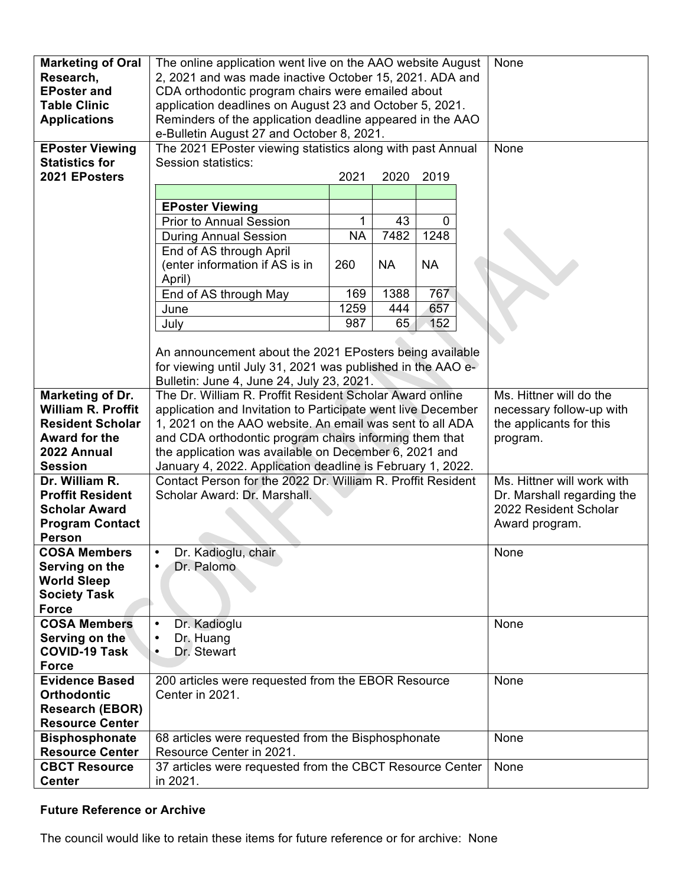| <b>Marketing of Oral</b>  | The online application went live on the AAO website August   |           |           |                       | None                    |                            |
|---------------------------|--------------------------------------------------------------|-----------|-----------|-----------------------|-------------------------|----------------------------|
| Research,                 | 2, 2021 and was made inactive October 15, 2021. ADA and      |           |           |                       |                         |                            |
| <b>EPoster and</b>        | CDA orthodontic program chairs were emailed about            |           |           |                       |                         |                            |
| <b>Table Clinic</b>       | application deadlines on August 23 and October 5, 2021.      |           |           |                       |                         |                            |
| <b>Applications</b>       | Reminders of the application deadline appeared in the AAO    |           |           |                       |                         |                            |
|                           | e-Bulletin August 27 and October 8, 2021.                    |           |           |                       |                         |                            |
| <b>EPoster Viewing</b>    | The 2021 EPoster viewing statistics along with past Annual   |           |           |                       |                         | None                       |
| <b>Statistics for</b>     | Session statistics:                                          |           |           |                       |                         |                            |
| 2021 EPosters             |                                                              | 2021      | 2020      | 2019                  |                         |                            |
|                           |                                                              |           |           |                       |                         |                            |
|                           | <b>EPoster Viewing</b>                                       |           |           |                       |                         |                            |
|                           | <b>Prior to Annual Session</b>                               | 1         | 43        | $\Omega$              |                         |                            |
|                           | <b>During Annual Session</b>                                 | <b>NA</b> | 7482      | 1248                  |                         |                            |
|                           | End of AS through April                                      |           |           |                       |                         |                            |
|                           | (enter information if AS is in                               | 260       | <b>NA</b> | <b>NA</b>             |                         |                            |
|                           | April)                                                       |           |           |                       |                         |                            |
|                           | End of AS through May                                        | 169       | 1388      | 767                   |                         |                            |
|                           | June                                                         | 1259      | 444       | 657                   |                         |                            |
|                           | July                                                         | 987       | 65        | 152                   |                         |                            |
|                           |                                                              |           |           |                       |                         |                            |
|                           | An announcement about the 2021 EPosters being available      |           |           |                       |                         |                            |
|                           | for viewing until July 31, 2021 was published in the AAO e-  |           |           |                       |                         |                            |
|                           | Bulletin: June 4, June 24, July 23, 2021.                    |           |           |                       |                         |                            |
| <b>Marketing of Dr.</b>   | The Dr. William R. Proffit Resident Scholar Award online     |           |           |                       |                         | Ms. Hittner will do the    |
| <b>William R. Proffit</b> | application and Invitation to Participate went live December |           |           |                       |                         | necessary follow-up with   |
| <b>Resident Scholar</b>   | 1, 2021 on the AAO website. An email was sent to all ADA     |           |           |                       | the applicants for this |                            |
| Award for the             | and CDA orthodontic program chairs informing them that       |           |           |                       | program.                |                            |
| 2022 Annual               | the application was available on December 6, 2021 and        |           |           |                       |                         |                            |
| <b>Session</b>            | January 4, 2022. Application deadline is February 1, 2022.   |           |           |                       |                         |                            |
| Dr. William R.            | Contact Person for the 2022 Dr. William R. Proffit Resident  |           |           |                       |                         | Ms. Hittner will work with |
| <b>Proffit Resident</b>   | Scholar Award: Dr. Marshall.                                 |           |           |                       |                         | Dr. Marshall regarding the |
| <b>Scholar Award</b>      |                                                              |           |           | 2022 Resident Scholar |                         |                            |
| <b>Program Contact</b>    |                                                              |           |           | Award program.        |                         |                            |
| <b>Person</b>             |                                                              |           |           |                       |                         |                            |
| <b>COSA Members</b>       | Dr. Kadioglu, chair                                          |           |           |                       |                         | None                       |
| Serving on the            | Dr. Palomo                                                   |           |           |                       |                         |                            |
| <b>World Sleep</b>        |                                                              |           |           |                       |                         |                            |
| <b>Society Task</b>       |                                                              |           |           |                       |                         |                            |
| <b>Force</b>              |                                                              |           |           |                       |                         |                            |
| <b>COSA Members</b>       | Dr. Kadioglu<br>$\bullet$                                    |           |           |                       |                         | None                       |
| Serving on the            | Dr. Huang<br>$\bullet$                                       |           |           |                       |                         |                            |
| <b>COVID-19 Task</b>      | Dr. Stewart<br>$\bullet$                                     |           |           |                       |                         |                            |
| <b>Force</b>              |                                                              |           |           |                       |                         |                            |
| <b>Evidence Based</b>     | 200 articles were requested from the EBOR Resource           |           |           |                       |                         | None                       |
| <b>Orthodontic</b>        | Center in 2021.                                              |           |           |                       |                         |                            |
| <b>Research (EBOR)</b>    |                                                              |           |           |                       |                         |                            |
| <b>Resource Center</b>    |                                                              |           |           |                       |                         |                            |
| <b>Bisphosphonate</b>     | 68 articles were requested from the Bisphosphonate           |           |           | None                  |                         |                            |
| <b>Resource Center</b>    | Resource Center in 2021.                                     |           |           |                       |                         |                            |
| <b>CBCT Resource</b>      | 37 articles were requested from the CBCT Resource Center     |           |           |                       |                         | None                       |
| <b>Center</b>             | in 2021.                                                     |           |           |                       |                         |                            |

## **Future Reference or Archive**

The council would like to retain these items for future reference or for archive: None